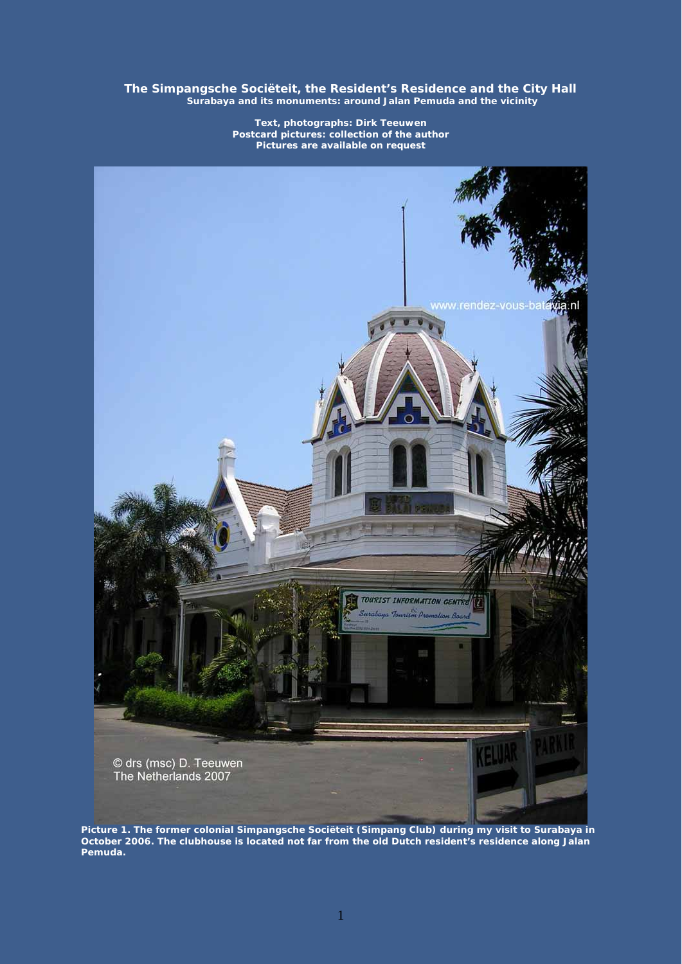**The Simpangsche Sociëteit, the Resident's Residence and the City Hall Surabaya and its monuments: around Jalan Pemuda and the vicinity** 

> **Text, photographs: Dirk Teeuwen Postcard pictures: collection of the author Pictures are available on request**



**Picture 1. The former colonial Simpangsche Sociëteit (Simpang Club) during my visit to Surabaya in October 2006. The clubhouse is located not far from the old Dutch resident's residence along Jalan Pemuda.**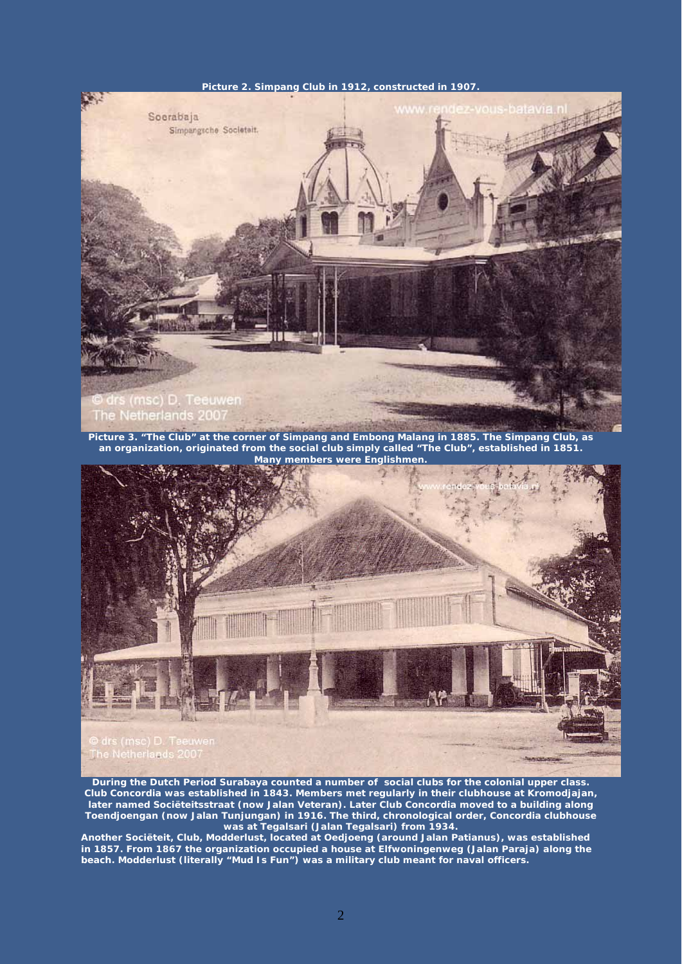## **Picture 2. Simpang Club in 1912, constructed in 1907.**



**Picture 3. "The Club" at the corner of Simpang and Embong Malang in 1885. The Simpang Club, as an organization, originated from the social club simply called "The Club", established in 1851. Many members were Englishmen.**



**During the Dutch Period Surabaya counted a number of social clubs for the colonial upper class. Club Concordia was established in 1843. Members met regularly in their clubhouse at Kromodjajan, later named Sociëteitsstraat (now Jalan Veteran). Later Club Concordia moved to a building along Toendjoengan (now Jalan Tunjungan) in 1916. The third, chronological order, Concordia clubhouse was at Tegalsari (Jalan Tegalsari) from 1934.**

**Another Sociëteit, Club, Modderlust, located at Oedjoeng (around Jalan Patianus), was established in 1857. From 1867 the organization occupied a house at Elfwoningenweg (Jalan Paraja) along the beach. Modderlust (literally "Mud Is Fun") was a military club meant for naval officers.**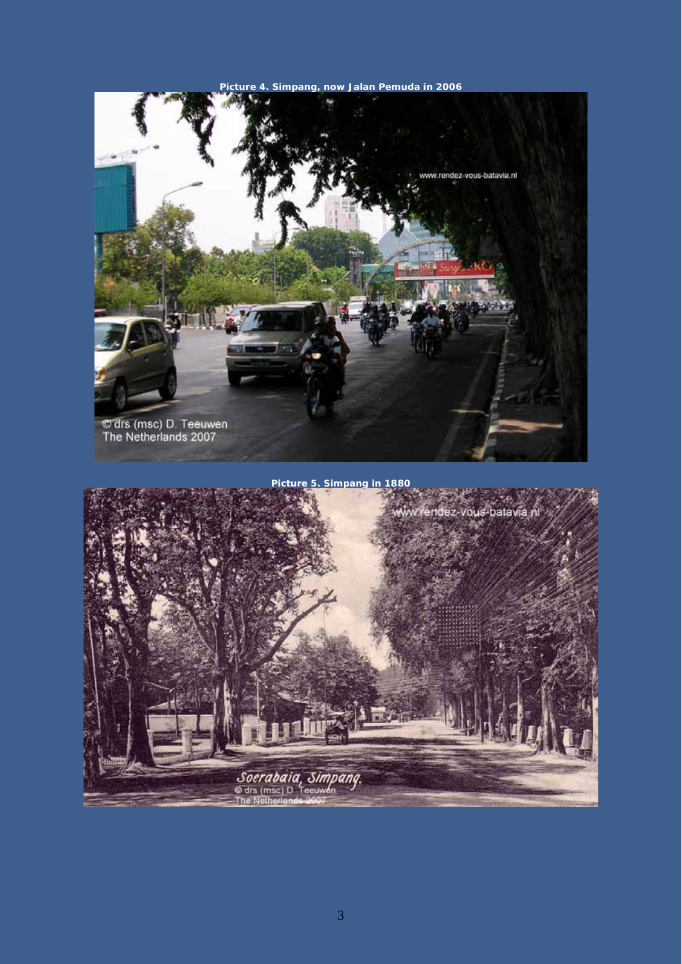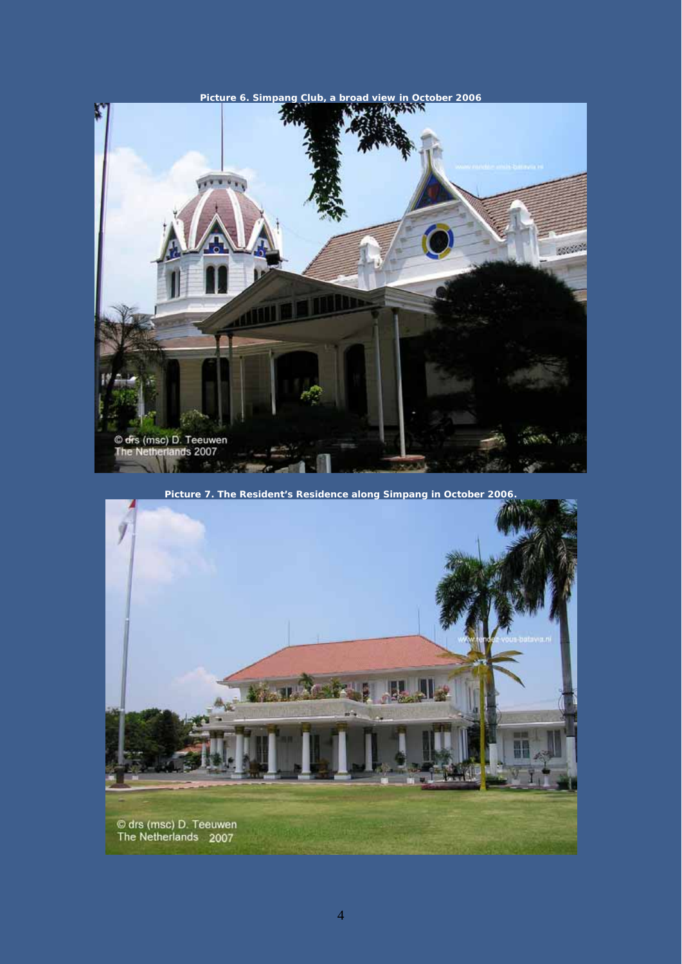

**Picture 7. The Resident's Residence along Simpang in October 2006.** 

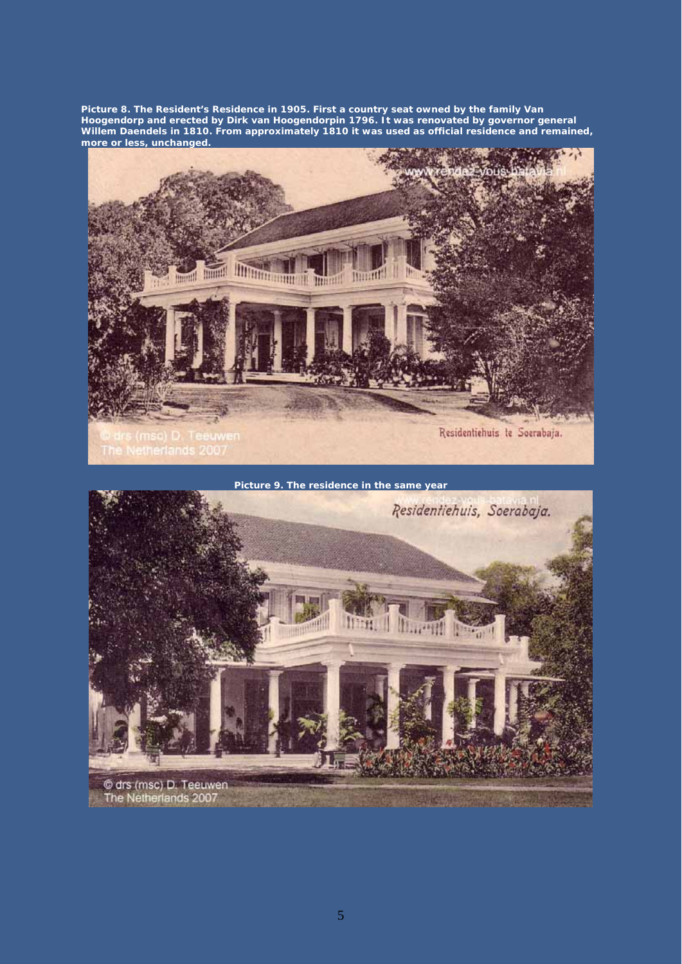**Picture 8. The Resident's Residence in 1905. First a country seat owned by the family Van Hoogendorp and erected by Dirk van Hoogendorpin 1796. It was renovated by governor general Willem Daendels in 1810. From approximately 1810 it was used as official residence and remained, more or less, unchanged.** 





5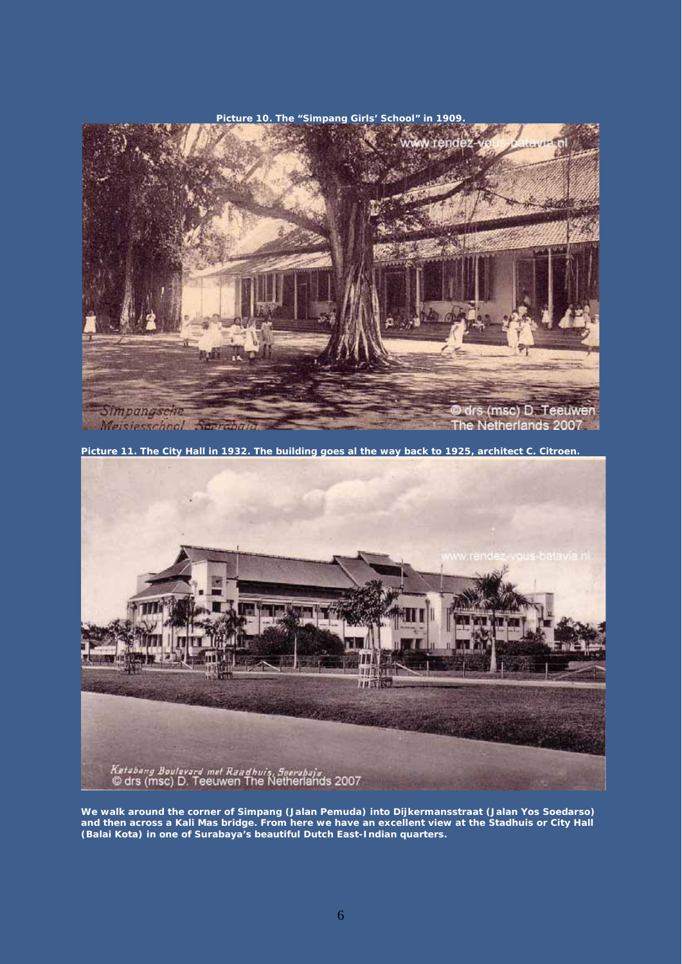

**Picture 11. The City Hall in 1932. The building goes al the way back to 1925, architect C. Citroen.** 



**We walk around the corner of Simpang (Jalan Pemuda) into Dijkermansstraat (Jalan Yos Soedarso) and then across a Kali Mas bridge. From here we have an excellent view at the Stadhuis or City Hall (Balai Kota) in one of Surabaya's beautiful Dutch East-Indian quarters.**